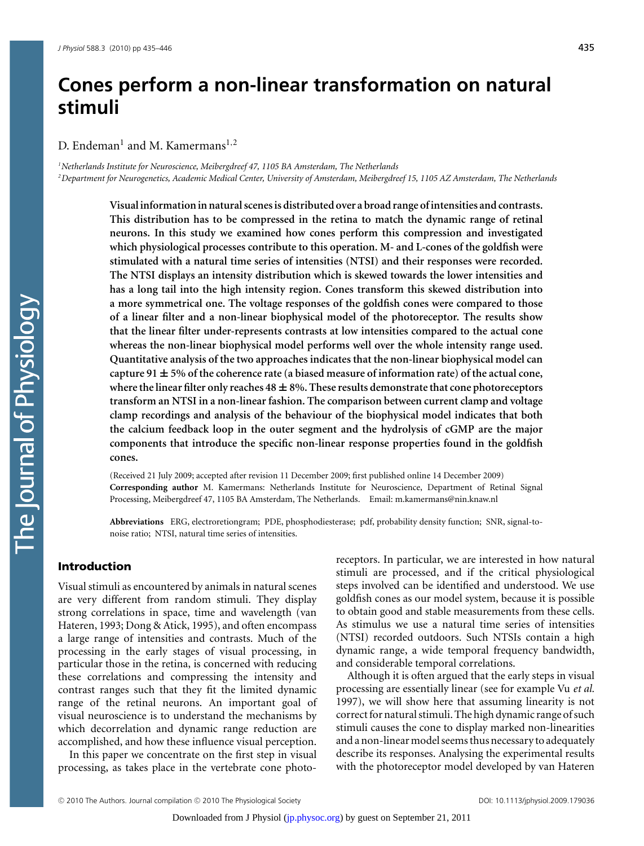# **Cones perform a non-linear transformation on natural stimuli**

D. Endeman<sup>1</sup> and M. Kamermans<sup>1,2</sup>

*1 Netherlands Institute for Neuroscience, Meibergdreef 47, 1105 BA Amsterdam, The Netherlands 2 Department for Neurogenetics, Academic Medical Center, University of Amsterdam, Meibergdreef 15, 1105 AZ Amsterdam, The Netherlands*

> **Visual information in natural scenes is distributed over a broad range of intensities and contrasts. This distribution has to be compressed in the retina to match the dynamic range of retinal neurons. In this study we examined how cones perform this compression and investigated which physiological processes contribute to this operation. M- and L-cones of the goldfish were stimulated with a natural time series of intensities (NTSI) and their responses were recorded. The NTSI displays an intensity distribution which is skewed towards the lower intensities and has a long tail into the high intensity region. Cones transform this skewed distribution into a more symmetrical one. The voltage responses of the goldfish cones were compared to those of a linear filter and a non-linear biophysical model of the photoreceptor. The results show that the linear filter under-represents contrasts at low intensities compared to the actual cone whereas the non-linear biophysical model performs well over the whole intensity range used. Quantitative analysis of the two approaches indicates that the non-linear biophysical model can capture 91 ± 5% of the coherence rate (a biased measure of information rate) of the actual cone, where the linear filter only reaches 48 ± 8%. These results demonstrate that cone photoreceptors transform an NTSI in a non-linear fashion. The comparison between current clamp and voltage clamp recordings and analysis of the behaviour of the biophysical model indicates that both the calcium feedback loop in the outer segment and the hydrolysis of cGMP are the major components that introduce the specific non-linear response properties found in the goldfish cones.**

> (Received 21 July 2009; accepted after revision 11 December 2009; first published online 14 December 2009) **Corresponding author** M. Kamermans: Netherlands Institute for Neuroscience, Department of Retinal Signal Processing, Meibergdreef 47, 1105 BA Amsterdam, The Netherlands. Email: m.kamermans@nin.knaw.nl

> **Abbreviations** ERG, electroretiongram; PDE, phosphodiesterase; pdf, probability density function; SNR, signal-tonoise ratio; NTSI, natural time series of intensities.

# Introduction

Visual stimuli as encountered by animals in natural scenes are very different from random stimuli. They display strong correlations in space, time and wavelength (van Hateren, 1993; Dong & Atick, 1995), and often encompass a large range of intensities and contrasts. Much of the processing in the early stages of visual processing, in particular those in the retina, is concerned with reducing these correlations and compressing the intensity and contrast ranges such that they fit the limited dynamic range of the retinal neurons. An important goal of visual neuroscience is to understand the mechanisms by which decorrelation and dynamic range reduction are accomplished, and how these influence visual perception.

In this paper we concentrate on the first step in visual processing, as takes place in the vertebrate cone photoreceptors. In particular, we are interested in how natural stimuli are processed, and if the critical physiological steps involved can be identified and understood. We use goldfish cones as our model system, because it is possible to obtain good and stable measurements from these cells. As stimulus we use a natural time series of intensities (NTSI) recorded outdoors. Such NTSIs contain a high dynamic range, a wide temporal frequency bandwidth, and considerable temporal correlations.

Although it is often argued that the early steps in visual processing are essentially linear (see for example Vu *et al.* 1997), we will show here that assuming linearity is not correct for natural stimuli. The high dynamic range of such stimuli causes the cone to display marked non-linearities and a non-linear model seems thus necessary to adequately describe its responses. Analysing the experimental results with the photoreceptor model developed by van Hateren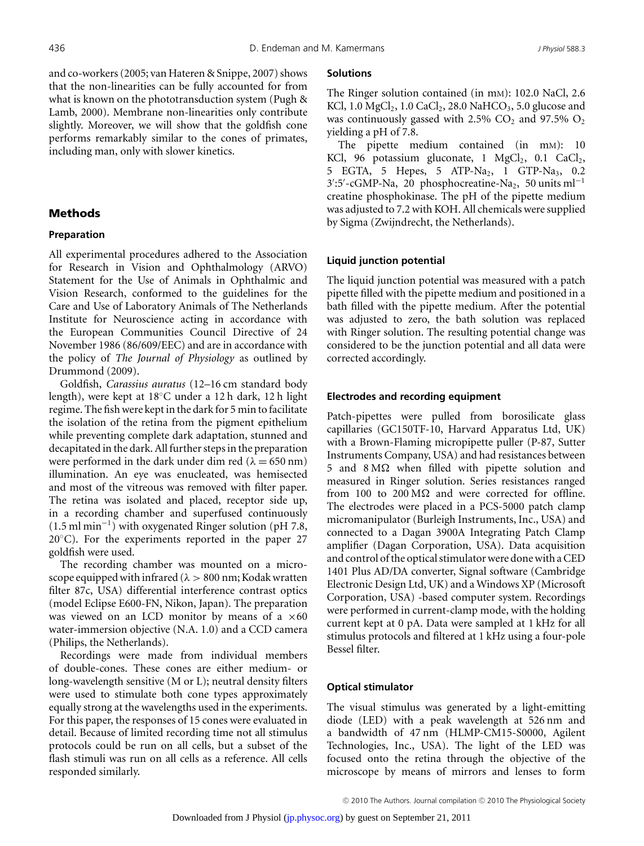and co-workers (2005; van Hateren & Snippe, 2007) shows that the non-linearities can be fully accounted for from what is known on the phototransduction system (Pugh & Lamb, 2000). Membrane non-linearities only contribute slightly. Moreover, we will show that the goldfish cone performs remarkably similar to the cones of primates, including man, only with slower kinetics.

## Methods

## **Preparation**

All experimental procedures adhered to the Association for Research in Vision and Ophthalmology (ARVO) Statement for the Use of Animals in Ophthalmic and Vision Research, conformed to the guidelines for the Care and Use of Laboratory Animals of The Netherlands Institute for Neuroscience acting in accordance with the European Communities Council Directive of 24 November 1986 (86/609/EEC) and are in accordance with the policy of *The Journal of Physiology* as outlined by Drummond (2009).

Goldfish, *Carassius auratus* (12–16 cm standard body length), were kept at 18◦C under a 12 h dark, 12 h light regime. The fish were kept in the dark for 5 min to facilitate the isolation of the retina from the pigment epithelium while preventing complete dark adaptation, stunned and decapitated in the dark. All further steps in the preparation were performed in the dark under dim red  $(\lambda = 650 \text{ nm})$ illumination. An eye was enucleated, was hemisected and most of the vitreous was removed with filter paper. The retina was isolated and placed, receptor side up, in a recording chamber and superfused continuously  $(1.5 \text{ ml min}^{-1})$  with oxygenated Ringer solution (pH 7.8,  $20^{\circ}$ C). For the experiments reported in the paper 27 goldfish were used.

The recording chamber was mounted on a microscope equipped with infrared (*λ >* 800 nm; Kodak wratten filter 87c, USA) differential interference contrast optics (model Eclipse E600-FN, Nikon, Japan). The preparation was viewed on an LCD monitor by means of a  $\times 60$ water-immersion objective (N.A. 1.0) and a CCD camera (Philips, the Netherlands).

Recordings were made from individual members of double-cones. These cones are either medium- or long-wavelength sensitive (M or L); neutral density filters were used to stimulate both cone types approximately equally strong at the wavelengths used in the experiments. For this paper, the responses of 15 cones were evaluated in detail. Because of limited recording time not all stimulus protocols could be run on all cells, but a subset of the flash stimuli was run on all cells as a reference. All cells responded similarly.

## **Solutions**

The Ringer solution contained (in mM): 102.0 NaCl, 2.6 KCl, 1.0  $MgCl_2$ , 1.0 CaCl<sub>2</sub>, 28.0 NaHCO<sub>3</sub>, 5.0 glucose and was continuously gassed with 2.5%  $CO<sub>2</sub>$  and 97.5%  $O<sub>2</sub>$ yielding a pH of 7.8.

The pipette medium contained (in mM): 10 KCl, 96 potassium gluconate, 1  $MgCl<sub>2</sub>$ , 0.1 CaCl<sub>2</sub>, 5 EGTA, 5 Hepes, 5 ATP-Na<sub>2</sub>, 1 GTP-Na<sub>3</sub>, 0.2  $3'$ :5′-cGMP-Na, 20 phosphocreatine-Na<sub>2</sub>, 50 units ml<sup>-1</sup> creatine phosphokinase. The pH of the pipette medium was adjusted to 7.2 with KOH. All chemicals were supplied by Sigma (Zwijndrecht, the Netherlands).

## **Liquid junction potential**

The liquid junction potential was measured with a patch pipette filled with the pipette medium and positioned in a bath filled with the pipette medium. After the potential was adjusted to zero, the bath solution was replaced with Ringer solution. The resulting potential change was considered to be the junction potential and all data were corrected accordingly.

## **Electrodes and recording equipment**

Patch-pipettes were pulled from borosilicate glass capillaries (GC150TF-10, Harvard Apparatus Ltd, UK) with a Brown-Flaming micropipette puller (P-87, Sutter Instruments Company, USA) and had resistances between 5 and  $8 \text{ M}\Omega$  when filled with pipette solution and measured in Ringer solution. Series resistances ranged from 100 to 200  $\text{M}\Omega$  and were corrected for offline. The electrodes were placed in a PCS-5000 patch clamp micromanipulator (Burleigh Instruments, Inc., USA) and connected to a Dagan 3900A Integrating Patch Clamp amplifier (Dagan Corporation, USA). Data acquisition and control of the optical stimulator were done with a CED 1401 Plus AD/DA converter, Signal software (Cambridge Electronic Design Ltd, UK) and a Windows XP (Microsoft Corporation, USA) -based computer system. Recordings were performed in current-clamp mode, with the holding current kept at 0 pA. Data were sampled at 1 kHz for all stimulus protocols and filtered at 1 kHz using a four-pole Bessel filter.

## **Optical stimulator**

The visual stimulus was generated by a light-emitting diode (LED) with a peak wavelength at 526 nm and a bandwidth of 47 nm (HLMP-CM15-S0000, Agilent Technologies, Inc., USA). The light of the LED was focused onto the retina through the objective of the microscope by means of mirrors and lenses to form

<sup>© 2010</sup> The Authors. Journal compilation © 2010 The Physiological Society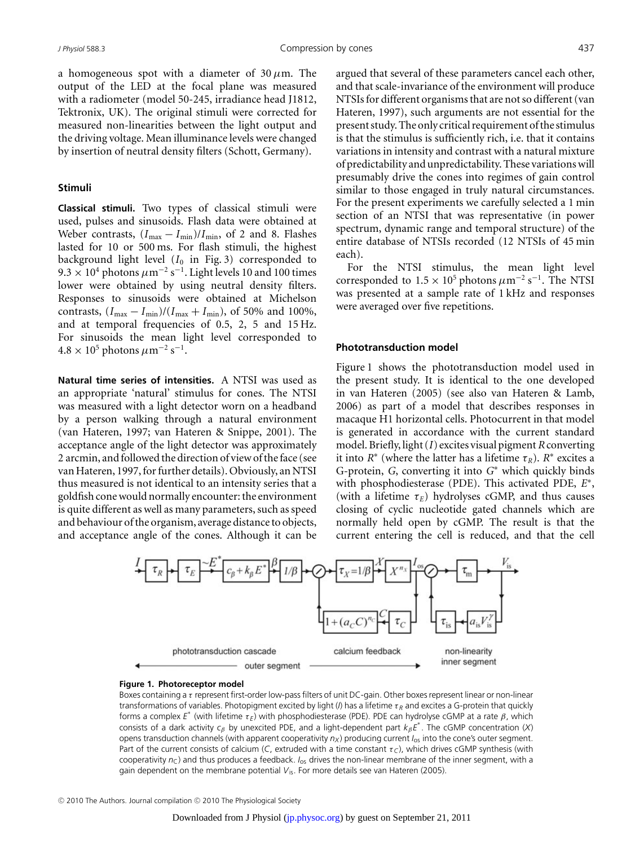a homogeneous spot with a diameter of 30 *μ*m. The output of the LED at the focal plane was measured with a radiometer (model 50-245, irradiance head J1812, Tektronix, UK). The original stimuli were corrected for measured non-linearities between the light output and the driving voltage. Mean illuminance levels were changed by insertion of neutral density filters (Schott, Germany).

## **Stimuli**

**Classical stimuli.** Two types of classical stimuli were used, pulses and sinusoids. Flash data were obtained at Weber contrasts,  $(I_{\text{max}} - I_{\text{min}})/I_{\text{min}}$ , of 2 and 8. Flashes lasted for 10 or 500 ms. For flash stimuli, the highest background light level  $(I_0$  in Fig. 3) corresponded to  $9.3 \times 10^4$  photons  $\mu$ m<sup>−2</sup> s<sup>−1</sup>. Light levels 10 and 100 times lower were obtained by using neutral density filters. Responses to sinusoids were obtained at Michelson contrasts,  $(I_{\text{max}} - I_{\text{min}})/(I_{\text{max}} + I_{\text{min}})$ , of 50% and 100%, and at temporal frequencies of 0.5, 2, 5 and 15 Hz. For sinusoids the mean light level corresponded to  $4.8 \times 10^5$  photons  $\mu$ m<sup>-2</sup> s<sup>-1</sup>.

**Natural time series of intensities.** A NTSI was used as an appropriate 'natural' stimulus for cones. The NTSI was measured with a light detector worn on a headband by a person walking through a natural environment (van Hateren, 1997; van Hateren & Snippe, 2001). The acceptance angle of the light detector was approximately 2 arcmin, and followed the direction of view of the face (see van Hateren, 1997, for further details). Obviously, an NTSI thus measured is not identical to an intensity series that a goldfish cone would normally encounter: the environment is quite different as well as many parameters, such as speed and behaviour of the organism, average distance to objects, and acceptance angle of the cones. Although it can be argued that several of these parameters cancel each other, and that scale-invariance of the environment will produce NTSIs for different organisms that are not so different (van Hateren, 1997), such arguments are not essential for the present study. The only critical requirement of the stimulus is that the stimulus is sufficiently rich, i.e. that it contains variations in intensity and contrast with a natural mixture of predictability and unpredictability. These variations will presumably drive the cones into regimes of gain control similar to those engaged in truly natural circumstances. For the present experiments we carefully selected a 1 min section of an NTSI that was representative (in power spectrum, dynamic range and temporal structure) of the entire database of NTSIs recorded (12 NTSIs of 45 min each).

For the NTSI stimulus, the mean light level corresponded to  $1.5 \times 10^5$  photons  $\mu$ m<sup>-2</sup> s<sup>-1</sup>. The NTSI was presented at a sample rate of 1 kHz and responses were averaged over five repetitions.

#### **Phototransduction model**

Figure 1 shows the phototransduction model used in the present study. It is identical to the one developed in van Hateren (2005) (see also van Hateren & Lamb, 2006) as part of a model that describes responses in macaque H1 horizontal cells. Photocurrent in that model is generated in accordance with the current standard model. Briefly, light (*I*) excites visual pigment*R* converting it into  $R^*$  (where the latter has a lifetime  $\tau_R$ ).  $R^*$  excites a G-protein, *G*, converting it into *G*<sup>∗</sup> which quickly binds with phosphodiesterase (PDE). This activated PDE, *E*∗, (with a lifetime *τE*) hydrolyses cGMP, and thus causes closing of cyclic nucleotide gated channels which are normally held open by cGMP. The result is that the current entering the cell is reduced, and that the cell



#### **Figure 1. Photoreceptor model**

Boxes containing a τ represent first-order low-pass filters of unit DC-gain. Other boxes represent linear or non-linear transformations of variables. Photopigment excited by light (*I*) has a lifetime τ *<sup>R</sup>* and excites a G-protein that quickly forms a complex *E*<sup>\*</sup> (with lifetime τ<sub>*E*</sub>) with phosphodiesterase (PDE). PDE can hydrolyse cGMP at a rate *β*, which consists of a dark activity *c*<sup>β</sup> by unexcited PDE, and a light-dependent part *k*<sup>β</sup> *E* ∗ . The cGMP concentration (*X*) opens transduction channels (with apparent cooperativity  $n_X$ ) producing current  $I_{\alpha s}$  into the cone's outer segment. Part of the current consists of calcium (*C*, extruded with a time constant  $\tau_C$ ), which drives cGMP synthesis (with cooperativity  $n<sub>C</sub>$ ) and thus produces a feedback. *I*<sub>os</sub> drives the non-linear membrane of the inner segment, with a gain dependent on the membrane potential V<sub>is</sub>. For more details see van Hateren (2005).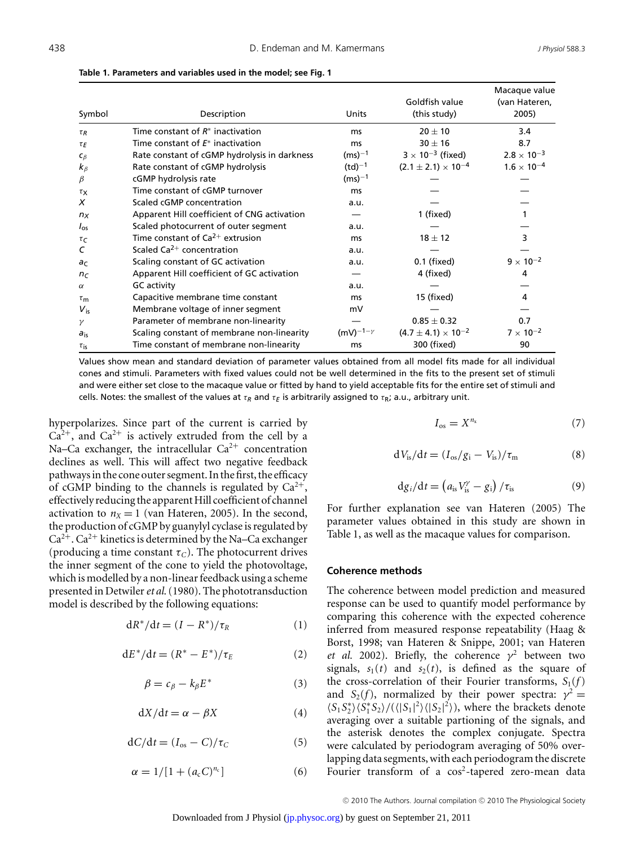| Symbol              | Description                                  | Units              | Goldfish value<br>(this study) | Macaque value<br>(van Hateren,<br>2005) |
|---------------------|----------------------------------------------|--------------------|--------------------------------|-----------------------------------------|
| $\tau_R$            | Time constant of $R^*$ inactivation          | ms                 | $20 \pm 10$                    | 3.4                                     |
| $\tau_E$            | Time constant of $E^*$ inactivation          | ms                 | $30 \pm 16$                    | 8.7                                     |
| $c_{\beta}$         | Rate constant of cGMP hydrolysis in darkness | $(ms)^{-1}$        | $3 \times 10^{-3}$ (fixed)     | $2.8 \times 10^{-3}$                    |
| $k_{\beta}$         | Rate constant of cGMP hydrolysis             | $(td)^{-1}$        | $(2.1 \pm 2.1) \times 10^{-4}$ | $1.6 \times 10^{-4}$                    |
| $\beta$             | cGMP hydrolysis rate                         | $(ms)^{-1}$        |                                |                                         |
| $\tau_{\mathsf{X}}$ | Time constant of cGMP turnover               | ms                 |                                |                                         |
| X                   | Scaled cGMP concentration                    | a.u.               |                                |                                         |
| $n_X$               | Apparent Hill coefficient of CNG activation  |                    | 1 (fixed)                      |                                         |
| $I_{OS}$            | Scaled photocurrent of outer segment         | a.u.               |                                |                                         |
| $\tau_C$            | Time constant of $Ca^{2+}$ extrusion         | ms                 | $18 \pm 12$                    | 3                                       |
| C                   | Scaled $Ca^{2+}$ concentration               | a.u.               |                                |                                         |
| ac                  | Scaling constant of GC activation            | a.u.               | 0.1 (fixed)                    | $9 \times 10^{-2}$                      |
| $n_C$               | Apparent Hill coefficient of GC activation   |                    | 4 (fixed)                      | 4                                       |
| $\alpha$            | <b>GC</b> activity                           | a.u.               |                                |                                         |
| $\tau_{\rm m}$      | Capacitive membrane time constant            | ms                 | 15 (fixed)                     | 4                                       |
| $V_{\text{is}}$     | Membrane voltage of inner segment            | mV                 |                                |                                         |
| $\gamma$            | Parameter of membrane non-linearity          |                    | $0.85 \pm 0.32$                | 0.7                                     |
| $a_{is}$            | Scaling constant of membrane non-linearity   | $(mV)^{-1-\gamma}$ | $(4.7 \pm 4.1) \times 10^{-2}$ | $7 \times 10^{-2}$                      |
| $\tau_{\text{is}}$  | Time constant of membrane non-linearity      | ms                 | 300 (fixed)                    | 90                                      |

**Table 1. Parameters and variables used in the model; see Fig. 1**

Values show mean and standard deviation of parameter values obtained from all model fits made for all individual cones and stimuli. Parameters with fixed values could not be well determined in the fits to the present set of stimuli and were either set close to the macaque value or fitted by hand to yield acceptable fits for the entire set of stimuli and cells. Notes: the smallest of the values at *τ<sup>R</sup>* and *τ<sup>E</sup>* is arbitrarily assigned to *τ*R; a.u., arbitrary unit.

hyperpolarizes. Since part of the current is carried by  $Ca<sup>2+</sup>$ , and  $Ca<sup>2+</sup>$  is actively extruded from the cell by a Na–Ca exchanger, the intracellular  $Ca^{2+}$  concentration declines as well. This will affect two negative feedback pathwaysin the cone outer segment. In the first, the efficacy of cGMP binding to the channels is regulated by  $Ca^{2+}$ , effectively reducing the apparent Hill coefficient of channel activation to  $n<sub>X</sub> = 1$  (van Hateren, 2005). In the second, the production of cGMP by guanylyl cyclase is regulated by  $Ca^{2+}$ .  $Ca^{2+}$  kinetics is determined by the Na–Ca exchanger (producing a time constant  $\tau_C$ ). The photocurrent drives the inner segment of the cone to yield the photovoltage, which is modelled by a non-linear feedback using a scheme presented in Detwiler*et al.*(1980). The phototransduction model is described by the following equations:

$$
dR^*/dt = (I - R^*)/\tau_R \tag{1}
$$

$$
dE^* / dt = (R^* - E^*) / \tau_E \tag{2}
$$

$$
\beta = c_{\beta} - k_{\beta} E^* \tag{3}
$$

$$
dX/dt = \alpha - \beta X \tag{4}
$$

$$
dC/dt = (I_{os} - C)/\tau_C
$$
 (5)

$$
\alpha = 1/[1 + (a_c C)^{n_c}] \tag{6}
$$

$$
I_{\text{os}} = X^{n_{\text{x}}} \tag{7}
$$

$$
dV_{\rm is}/dt = (I_{\rm os}/g_{\rm i} - V_{\rm is})/\tau_{\rm m}
$$
 (8)

$$
dg_i/dt = \left(a_{is}V_{is}^{\gamma} - g_i\right)/\tau_{is}
$$
\n(9)

For further explanation see van Hateren (2005) The parameter values obtained in this study are shown in Table 1, as well as the macaque values for comparison.

## **Coherence methods**

The coherence between model prediction and measured response can be used to quantify model performance by comparing this coherence with the expected coherence inferred from measured response repeatability (Haag & Borst, 1998; van Hateren & Snippe, 2001; van Hateren *et al.* 2002). Briefly, the coherence  $\gamma^2$  between two signals,  $s_1(t)$  and  $s_2(t)$ , is defined as the square of the cross-correlation of their Fourier transforms,  $S_1(f)$ and *S*<sub>2</sub>(*f*), normalized by their power spectra:  $\gamma^2$  =  $\langle S_1 S_2^* \rangle \langle S_1^* S_2 \rangle / (\langle |S_1|^2 \rangle \langle |S_2|^2 \rangle)$ , where the brackets denote averaging over a suitable partioning of the signals, and the asterisk denotes the complex conjugate. Spectra were calculated by periodogram averaging of 50% overlapping data segments, with each periodogram the discrete Fourier transform of a cos<sup>2</sup>-tapered zero-mean data

<sup>© 2010</sup> The Authors. Journal compilation © 2010 The Physiological Society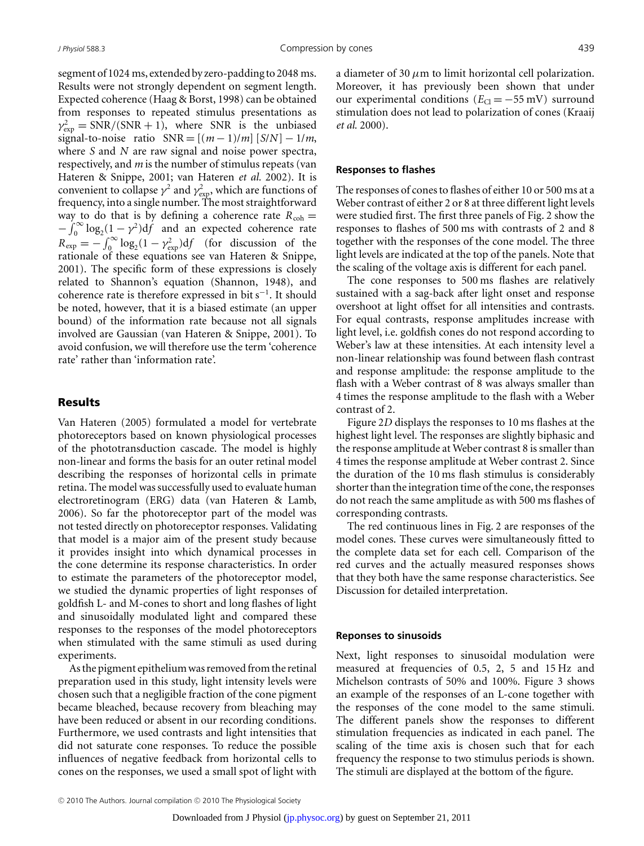segment of 1024 ms, extended by zero-padding to 2048 ms. Results were not strongly dependent on segment length. Expected coherence (Haag & Borst, 1998) can be obtained from responses to repeated stimulus presentations as  $\gamma_{\rm exp}^2 = {\rm SNR}/({\rm SNR} + 1)$ , where SNR is the unbiased signal-to-noise ratio  $SNR = [(m-1)/m] [S/N] - 1/m$ , where *S* and *N* are raw signal and noise power spectra, respectively, and *m* is the number of stimulus repeats (van Hateren & Snippe, 2001; van Hateren *et al.* 2002). It is convenient to collapse  $\gamma^2$  and  $\gamma_{\text{exp}}^2$ , which are functions of frequency, into a single number. The most straightforward way to do that is by defining a coherence rate  $R_{coh} =$  $-\int_0^\infty \log_2(1-\gamma^2) df$  and an expected coherence rate  $R_{\text{exp}} = -\int_0^\infty \log_2(1 - \gamma_{\text{exp}}^2) df$  (for discussion of the rationale of these equations see van Hateren & Snippe, 2001). The specific form of these expressions is closely related to Shannon's equation (Shannon, 1948), and coherence rate is therefore expressed in bit  $s^{-1}$ . It should be noted, however, that it is a biased estimate (an upper bound) of the information rate because not all signals involved are Gaussian (van Hateren & Snippe, 2001). To avoid confusion, we will therefore use the term 'coherence rate' rather than 'information rate'.

# **Results**

Van Hateren (2005) formulated a model for vertebrate photoreceptors based on known physiological processes of the phototransduction cascade. The model is highly non-linear and forms the basis for an outer retinal model describing the responses of horizontal cells in primate retina. The model was successfully used to evaluate human electroretinogram (ERG) data (van Hateren & Lamb, 2006). So far the photoreceptor part of the model was not tested directly on photoreceptor responses. Validating that model is a major aim of the present study because it provides insight into which dynamical processes in the cone determine its response characteristics. In order to estimate the parameters of the photoreceptor model, we studied the dynamic properties of light responses of goldfish L- and M-cones to short and long flashes of light and sinusoidally modulated light and compared these responses to the responses of the model photoreceptors when stimulated with the same stimuli as used during experiments.

As the pigment epithelium was removed from the retinal preparation used in this study, light intensity levels were chosen such that a negligible fraction of the cone pigment became bleached, because recovery from bleaching may have been reduced or absent in our recording conditions. Furthermore, we used contrasts and light intensities that did not saturate cone responses. To reduce the possible influences of negative feedback from horizontal cells to cones on the responses, we used a small spot of light with a diameter of 30  $\mu$ m to limit horizontal cell polarization. Moreover, it has previously been shown that under our experimental conditions  $(E_C = -55 \text{ mV})$  surround stimulation does not lead to polarization of cones (Kraaij *et al.* 2000).

#### **Responses to flashes**

The responses of cones to flashes of either 10 or 500 ms at a Weber contrast of either 2 or 8 at three different light levels were studied first. The first three panels of Fig. 2 show the responses to flashes of 500 ms with contrasts of 2 and 8 together with the responses of the cone model. The three light levels are indicated at the top of the panels. Note that the scaling of the voltage axis is different for each panel.

The cone responses to 500 ms flashes are relatively sustained with a sag-back after light onset and response overshoot at light offset for all intensities and contrasts. For equal contrasts, response amplitudes increase with light level, i.e. goldfish cones do not respond according to Weber's law at these intensities. At each intensity level a non-linear relationship was found between flash contrast and response amplitude: the response amplitude to the flash with a Weber contrast of 8 was always smaller than 4 times the response amplitude to the flash with a Weber contrast of 2.

Figure 2*D* displays the responses to 10 ms flashes at the highest light level. The responses are slightly biphasic and the response amplitude at Weber contrast 8 is smaller than 4 times the response amplitude at Weber contrast 2. Since the duration of the 10 ms flash stimulus is considerably shorter than the integration time of the cone, the responses do not reach the same amplitude as with 500 ms flashes of corresponding contrasts.

The red continuous lines in Fig. 2 are responses of the model cones. These curves were simultaneously fitted to the complete data set for each cell. Comparison of the red curves and the actually measured responses shows that they both have the same response characteristics. See Discussion for detailed interpretation.

#### **Reponses to sinusoids**

Next, light responses to sinusoidal modulation were measured at frequencies of 0.5, 2, 5 and 15 Hz and Michelson contrasts of 50% and 100%. Figure 3 shows an example of the responses of an L-cone together with the responses of the cone model to the same stimuli. The different panels show the responses to different stimulation frequencies as indicated in each panel. The scaling of the time axis is chosen such that for each frequency the response to two stimulus periods is shown. The stimuli are displayed at the bottom of the figure.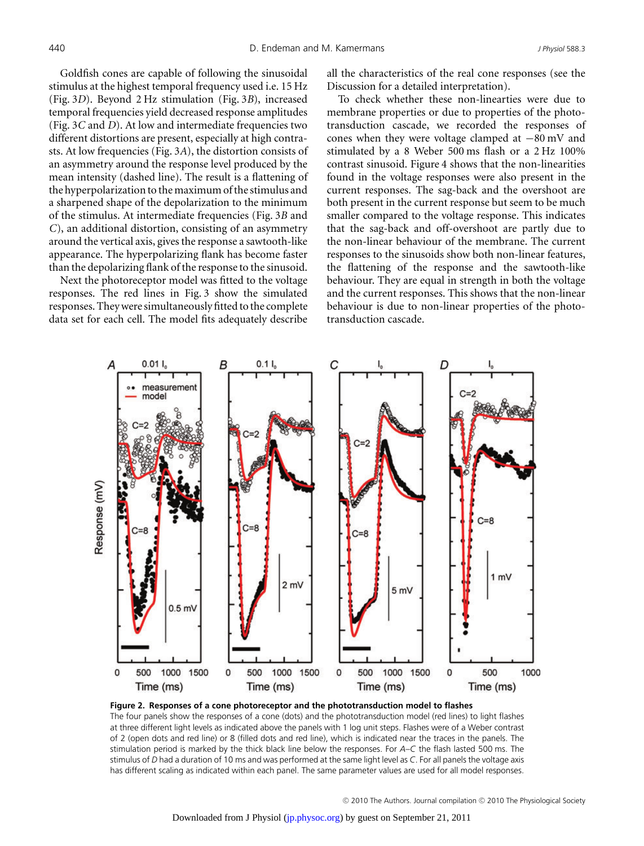Goldfish cones are capable of following the sinusoidal stimulus at the highest temporal frequency used i.e. 15 Hz (Fig. 3*D*). Beyond 2 Hz stimulation (Fig. 3*B*), increased temporal frequencies yield decreased response amplitudes (Fig. 3*C* and *D*). At low and intermediate frequencies two different distortions are present, especially at high contrasts. At low frequencies (Fig. 3*A*), the distortion consists of an asymmetry around the response level produced by the mean intensity (dashed line). The result is a flattening of the hyperpolarization to the maximum of the stimulus and a sharpened shape of the depolarization to the minimum of the stimulus. At intermediate frequencies (Fig. 3*B* and *C*), an additional distortion, consisting of an asymmetry around the vertical axis, gives the response a sawtooth-like appearance. The hyperpolarizing flank has become faster than the depolarizing flank of the response to the sinusoid.

Next the photoreceptor model was fitted to the voltage responses. The red lines in Fig. 3 show the simulated responses. They were simultaneously fitted to the complete data set for each cell. The model fits adequately describe all the characteristics of the real cone responses (see the Discussion for a detailed interpretation).

To check whether these non-linearties were due to membrane properties or due to properties of the phototransduction cascade, we recorded the responses of cones when they were voltage clamped at −80 mV and stimulated by a 8 Weber 500 ms flash or a 2 Hz 100% contrast sinusoid. Figure 4 shows that the non-linearities found in the voltage responses were also present in the current responses. The sag-back and the overshoot are both present in the current response but seem to be much smaller compared to the voltage response. This indicates that the sag-back and off-overshoot are partly due to the non-linear behaviour of the membrane. The current responses to the sinusoids show both non-linear features, the flattening of the response and the sawtooth-like behaviour. They are equal in strength in both the voltage and the current responses. This shows that the non-linear behaviour is due to non-linear properties of the phototransduction cascade.



The four panels show the responses of a cone (dots) and the phototransduction model (red lines) to light flashes at three different light levels as indicated above the panels with 1 log unit steps. Flashes were of a Weber contrast of 2 (open dots and red line) or 8 (filled dots and red line), which is indicated near the traces in the panels. The stimulation period is marked by the thick black line below the responses. For *A–C* the flash lasted 500 ms. The stimulus of *D* had a duration of 10 ms and was performed at the same light level as *C*. For all panels the voltage axis has different scaling as indicated within each panel. The same parameter values are used for all model responses.

© 2010 The Authors. Journal compilation © 2010 The Physiological Society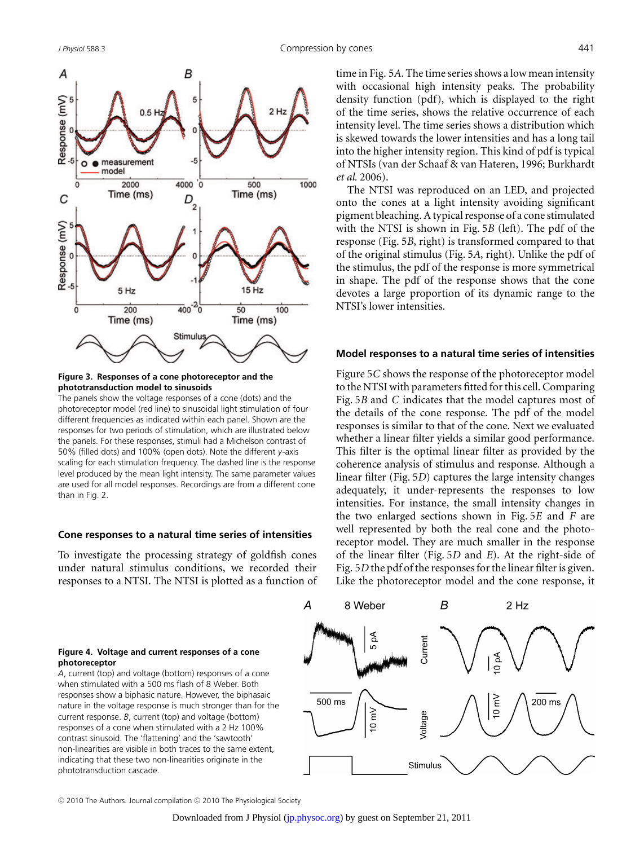

**Figure 3. Responses of a cone photoreceptor and the phototransduction model to sinusoids**

The panels show the voltage responses of a cone (dots) and the photoreceptor model (red line) to sinusoidal light stimulation of four different frequencies as indicated within each panel. Shown are the responses for two periods of stimulation, which are illustrated below the panels. For these responses, stimuli had a Michelson contrast of 50% (filled dots) and 100% (open dots). Note the different *y*-axis scaling for each stimulation frequency. The dashed line is the response level produced by the mean light intensity. The same parameter values are used for all model responses. Recordings are from a different cone than in Fig. 2.

#### **Cone responses to a natural time series of intensities**

To investigate the processing strategy of goldfish cones under natural stimulus conditions, we recorded their responses to a NTSI. The NTSI is plotted as a function of

# time in Fig. 5*A*. The time series shows a low mean intensity with occasional high intensity peaks. The probability density function (pdf), which is displayed to the right of the time series, shows the relative occurrence of each intensity level. The time series shows a distribution which is skewed towards the lower intensities and has a long tail into the higher intensity region. This kind of pdf is typical of NTSIs (van der Schaaf & van Hateren, 1996; Burkhardt *et al.* 2006).

The NTSI was reproduced on an LED, and projected onto the cones at a light intensity avoiding significant pigment bleaching. A typical response of a cone stimulated with the NTSI is shown in Fig. 5*B* (left). The pdf of the response (Fig. 5*B*, right) is transformed compared to that of the original stimulus (Fig. 5*A*, right). Unlike the pdf of the stimulus, the pdf of the response is more symmetrical in shape. The pdf of the response shows that the cone devotes a large proportion of its dynamic range to the NTSI's lower intensities.

#### **Model responses to a natural time series of intensities**

Figure 5*C* shows the response of the photoreceptor model to the NTSI with parameters fitted for this cell. Comparing Fig. 5*B* and *C* indicates that the model captures most of the details of the cone response. The pdf of the model responses is similar to that of the cone. Next we evaluated whether a linear filter yields a similar good performance. This filter is the optimal linear filter as provided by the coherence analysis of stimulus and response. Although a linear filter (Fig. 5*D*) captures the large intensity changes adequately, it under-represents the responses to low intensities. For instance, the small intensity changes in the two enlarged sections shown in Fig. 5*E* and *F* are well represented by both the real cone and the photoreceptor model. They are much smaller in the response of the linear filter (Fig. 5*D* and *E*). At the right-side of Fig. 5*D* the pdf of the responses for the linear filter is given. Like the photoreceptor model and the cone response, it

#### **Figure 4. Voltage and current responses of a cone photoreceptor**

*A*, current (top) and voltage (bottom) responses of a cone when stimulated with a 500 ms flash of 8 Weber. Both responses show a biphasic nature. However, the biphasaic nature in the voltage response is much stronger than for the current response. *B*, current (top) and voltage (bottom) responses of a cone when stimulated with a 2 Hz 100% contrast sinusoid. The 'flattening' and the 'sawtooth' non-linearities are visible in both traces to the same extent, indicating that these two non-linearities originate in the phototransduction cascade.



© 2010 The Authors. Journal compilation © 2010 The Physiological Society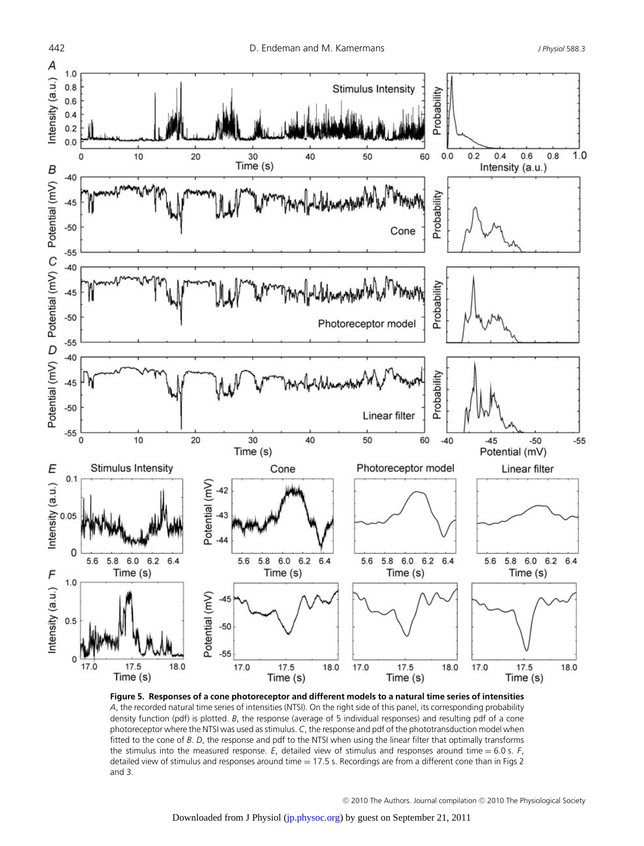

**Figure 5. Responses of a cone photoreceptor and different models to a natural time series of intensities** *A*, the recorded natural time series of intensities (NTSI). On the right side of this panel, its corresponding probability density function (pdf) is plotted. *B*, the response (average of 5 individual responses) and resulting pdf of a cone photoreceptor where the NTSI was used as stimulus. *C*, the response and pdf of the phototransduction model when fitted to the cone of *B*. *D*, the response and pdf to the NTSI when using the linear filter that optimally transforms the stimulus into the measured response. *E*, detailed view of stimulus and responses around time = 6.0 s. *F*, detailed view of stimulus and responses around time  $= 17.5$  s. Recordings are from a different cone than in Figs 2 and 3.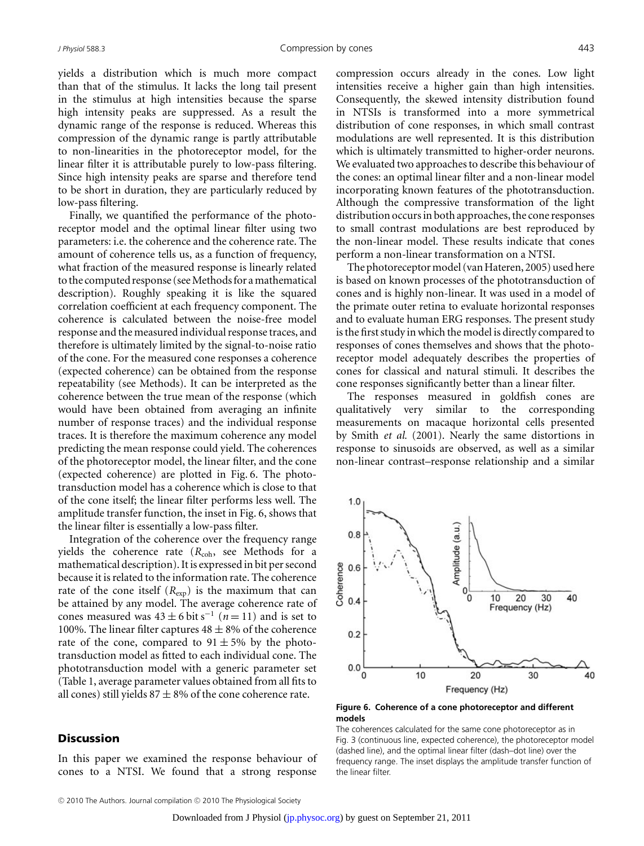yields a distribution which is much more compact than that of the stimulus. It lacks the long tail present in the stimulus at high intensities because the sparse high intensity peaks are suppressed. As a result the dynamic range of the response is reduced. Whereas this compression of the dynamic range is partly attributable to non-linearities in the photoreceptor model, for the linear filter it is attributable purely to low-pass filtering. Since high intensity peaks are sparse and therefore tend to be short in duration, they are particularly reduced by low-pass filtering.

Finally, we quantified the performance of the photoreceptor model and the optimal linear filter using two parameters: i.e. the coherence and the coherence rate. The amount of coherence tells us, as a function of frequency, what fraction of the measured response is linearly related to the computed response (see Methods for a mathematical description). Roughly speaking it is like the squared correlation coefficient at each frequency component. The coherence is calculated between the noise-free model response and the measured individual response traces, and therefore is ultimately limited by the signal-to-noise ratio of the cone. For the measured cone responses a coherence (expected coherence) can be obtained from the response repeatability (see Methods). It can be interpreted as the coherence between the true mean of the response (which would have been obtained from averaging an infinite number of response traces) and the individual response traces. It is therefore the maximum coherence any model predicting the mean response could yield. The coherences of the photoreceptor model, the linear filter, and the cone (expected coherence) are plotted in Fig. 6. The phototransduction model has a coherence which is close to that of the cone itself; the linear filter performs less well. The amplitude transfer function, the inset in Fig. 6, shows that the linear filter is essentially a low-pass filter.

Integration of the coherence over the frequency range yields the coherence rate  $(R_{coh}, \text{ see Methods}$  for a mathematical description). It is expressed in bit per second because it is related to the information rate. The coherence rate of the cone itself  $(R_{\text{exp}})$  is the maximum that can be attained by any model. The average coherence rate of cones measured was  $43 \pm 6$  bit s<sup>-1</sup> ( $n = 11$ ) and is set to 100%. The linear filter captures  $48 \pm 8$ % of the coherence rate of the cone, compared to  $91 \pm 5\%$  by the phototransduction model as fitted to each individual cone. The phototransduction model with a generic parameter set (Table 1, average parameter values obtained from all fits to all cones) still yields  $87 \pm 8\%$  of the cone coherence rate.

## **Discussion**

In this paper we examined the response behaviour of cones to a NTSI. We found that a strong response compression occurs already in the cones. Low light intensities receive a higher gain than high intensities. Consequently, the skewed intensity distribution found in NTSIs is transformed into a more symmetrical distribution of cone responses, in which small contrast modulations are well represented. It is this distribution which is ultimately transmitted to higher-order neurons. We evaluated two approaches to describe this behaviour of the cones: an optimal linear filter and a non-linear model incorporating known features of the phototransduction. Although the compressive transformation of the light distribution occurs in both approaches, the cone responses to small contrast modulations are best reproduced by the non-linear model. These results indicate that cones perform a non-linear transformation on a NTSI.

The photoreceptor model (van Hateren, 2005) used here is based on known processes of the phototransduction of cones and is highly non-linear. It was used in a model of the primate outer retina to evaluate horizontal responses and to evaluate human ERG responses. The present study is the first study in which the model is directly compared to responses of cones themselves and shows that the photoreceptor model adequately describes the properties of cones for classical and natural stimuli. It describes the cone responses significantly better than a linear filter.

The responses measured in goldfish cones are qualitatively very similar to the corresponding measurements on macaque horizontal cells presented by Smith *et al.* (2001). Nearly the same distortions in response to sinusoids are observed, as well as a similar non-linear contrast–response relationship and a similar



**Figure 6. Coherence of a cone photoreceptor and different models**

The coherences calculated for the same cone photoreceptor as in Fig. 3 (continuous line, expected coherence), the photoreceptor model (dashed line), and the optimal linear filter (dash–dot line) over the frequency range. The inset displays the amplitude transfer function of the linear filter.

<sup>© 2010</sup> The Authors. Journal compilation © 2010 The Physiological Society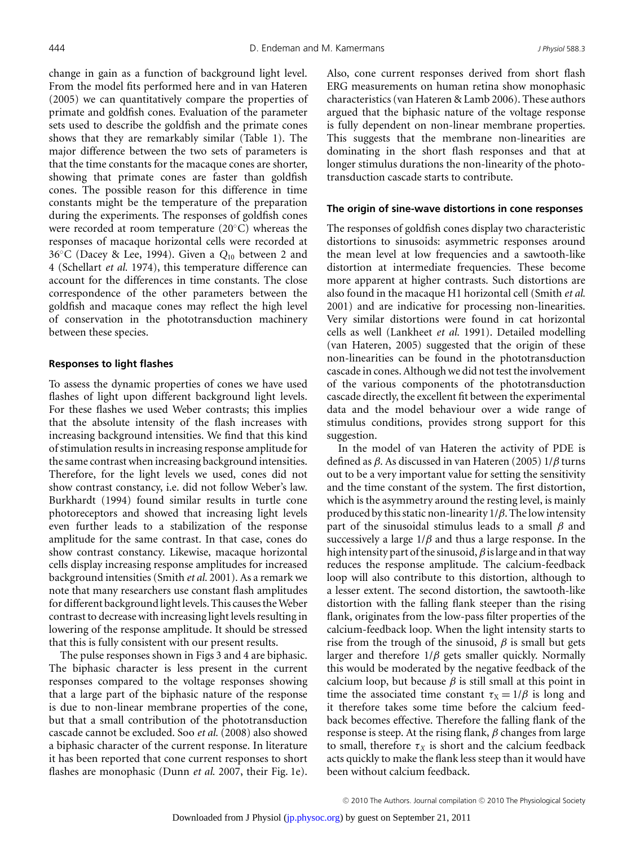change in gain as a function of background light level. From the model fits performed here and in van Hateren (2005) we can quantitatively compare the properties of primate and goldfish cones. Evaluation of the parameter sets used to describe the goldfish and the primate cones shows that they are remarkably similar (Table 1). The major difference between the two sets of parameters is that the time constants for the macaque cones are shorter, showing that primate cones are faster than goldfish cones. The possible reason for this difference in time constants might be the temperature of the preparation during the experiments. The responses of goldfish cones were recorded at room temperature (20◦C) whereas the responses of macaque horizontal cells were recorded at 36◦C (Dacey & Lee, 1994). Given a *Q*<sup>10</sup> between 2 and 4 (Schellart *et al.* 1974), this temperature difference can account for the differences in time constants. The close correspondence of the other parameters between the goldfish and macaque cones may reflect the high level of conservation in the phototransduction machinery between these species.

## **Responses to light flashes**

To assess the dynamic properties of cones we have used flashes of light upon different background light levels. For these flashes we used Weber contrasts; this implies that the absolute intensity of the flash increases with increasing background intensities. We find that this kind of stimulation results in increasing response amplitude for the same contrast when increasing background intensities. Therefore, for the light levels we used, cones did not show contrast constancy, i.e. did not follow Weber's law. Burkhardt (1994) found similar results in turtle cone photoreceptors and showed that increasing light levels even further leads to a stabilization of the response amplitude for the same contrast. In that case, cones do show contrast constancy. Likewise, macaque horizontal cells display increasing response amplitudes for increased background intensities (Smith *et al.* 2001). As a remark we note that many researchers use constant flash amplitudes for different background light levels. This causes theWeber contrast to decrease with increasing light levels resulting in lowering of the response amplitude. It should be stressed that this is fully consistent with our present results.

The pulse responses shown in Figs 3 and 4 are biphasic. The biphasic character is less present in the current responses compared to the voltage responses showing that a large part of the biphasic nature of the response is due to non-linear membrane properties of the cone, but that a small contribution of the phototransduction cascade cannot be excluded. Soo *et al.* (2008) also showed a biphasic character of the current response. In literature it has been reported that cone current responses to short flashes are monophasic (Dunn *et al.* 2007, their Fig. 1e). Also, cone current responses derived from short flash ERG measurements on human retina show monophasic characteristics (van Hateren & Lamb 2006). These authors argued that the biphasic nature of the voltage response is fully dependent on non-linear membrane properties. This suggests that the membrane non-linearities are dominating in the short flash responses and that at longer stimulus durations the non-linearity of the phototransduction cascade starts to contribute.

## **The origin of sine-wave distortions in cone responses**

The responses of goldfish cones display two characteristic distortions to sinusoids: asymmetric responses around the mean level at low frequencies and a sawtooth-like distortion at intermediate frequencies. These become more apparent at higher contrasts. Such distortions are also found in the macaque H1 horizontal cell (Smith *et al.* 2001) and are indicative for processing non-linearities. Very similar distortions were found in cat horizontal cells as well (Lankheet *et al.* 1991). Detailed modelling (van Hateren, 2005) suggested that the origin of these non-linearities can be found in the phototransduction cascade in cones. Although we did not test the involvement of the various components of the phototransduction cascade directly, the excellent fit between the experimental data and the model behaviour over a wide range of stimulus conditions, provides strong support for this suggestion.

In the model of van Hateren the activity of PDE is defined as *β*. As discussed in van Hateren (2005) 1/*β* turns out to be a very important value for setting the sensitivity and the time constant of the system. The first distortion, which is the asymmetry around the resting level, is mainly produced by this static non-linearity 1/*β*. The low intensity part of the sinusoidal stimulus leads to a small *β* and successively a large 1/*β* and thus a large response. In the high intensity part of the sinusoid, *β* is large and in that way reduces the response amplitude. The calcium-feedback loop will also contribute to this distortion, although to a lesser extent. The second distortion, the sawtooth-like distortion with the falling flank steeper than the rising flank, originates from the low-pass filter properties of the calcium-feedback loop. When the light intensity starts to rise from the trough of the sinusoid,  $\beta$  is small but gets larger and therefore 1/*β* gets smaller quickly. Normally this would be moderated by the negative feedback of the calcium loop, but because  $\beta$  is still small at this point in time the associated time constant  $\tau_X = 1/\beta$  is long and it therefore takes some time before the calcium feedback becomes effective. Therefore the falling flank of the response is steep. At the rising flank, *β* changes from large to small, therefore  $\tau_X$  is short and the calcium feedback acts quickly to make the flank less steep than it would have been without calcium feedback.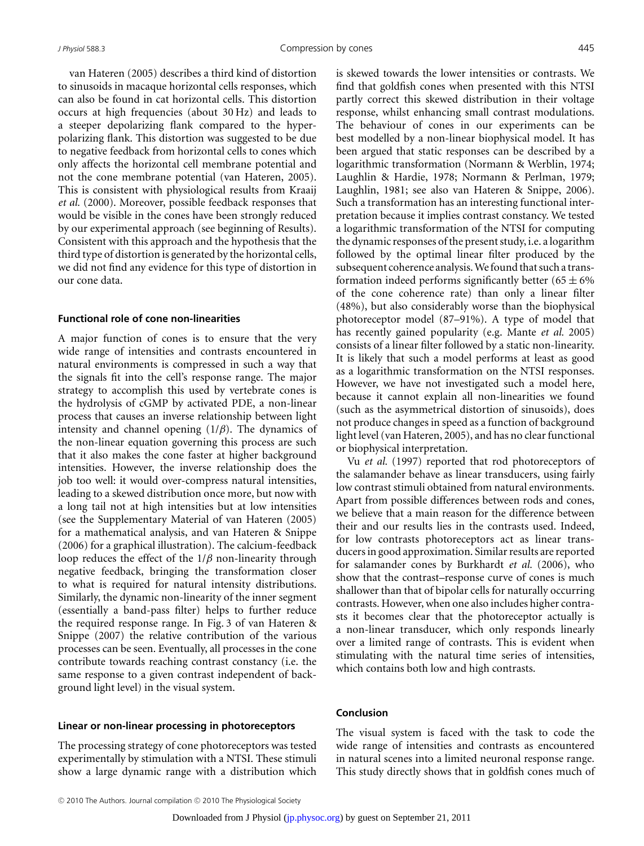van Hateren (2005) describes a third kind of distortion to sinusoids in macaque horizontal cells responses, which can also be found in cat horizontal cells. This distortion occurs at high frequencies (about 30 Hz) and leads to a steeper depolarizing flank compared to the hyperpolarizing flank. This distortion was suggested to be due to negative feedback from horizontal cells to cones which only affects the horizontal cell membrane potential and not the cone membrane potential (van Hateren, 2005). This is consistent with physiological results from Kraaij *et al.* (2000). Moreover, possible feedback responses that would be visible in the cones have been strongly reduced by our experimental approach (see beginning of Results). Consistent with this approach and the hypothesis that the third type of distortion is generated by the horizontal cells, we did not find any evidence for this type of distortion in our cone data.

#### **Functional role of cone non-linearities**

A major function of cones is to ensure that the very wide range of intensities and contrasts encountered in natural environments is compressed in such a way that the signals fit into the cell's response range. The major strategy to accomplish this used by vertebrate cones is the hydrolysis of cGMP by activated PDE, a non-linear process that causes an inverse relationship between light intensity and channel opening (1/*β*). The dynamics of the non-linear equation governing this process are such that it also makes the cone faster at higher background intensities. However, the inverse relationship does the job too well: it would over-compress natural intensities, leading to a skewed distribution once more, but now with a long tail not at high intensities but at low intensities (see the Supplementary Material of van Hateren (2005) for a mathematical analysis, and van Hateren & Snippe (2006) for a graphical illustration). The calcium-feedback loop reduces the effect of the 1/*β* non-linearity through negative feedback, bringing the transformation closer to what is required for natural intensity distributions. Similarly, the dynamic non-linearity of the inner segment (essentially a band-pass filter) helps to further reduce the required response range. In Fig. 3 of van Hateren & Snippe (2007) the relative contribution of the various processes can be seen. Eventually, all processes in the cone contribute towards reaching contrast constancy (i.e. the same response to a given contrast independent of background light level) in the visual system.

## **Linear or non-linear processing in photoreceptors**

The processing strategy of cone photoreceptors was tested experimentally by stimulation with a NTSI. These stimuli show a large dynamic range with a distribution which is skewed towards the lower intensities or contrasts. We find that goldfish cones when presented with this NTSI partly correct this skewed distribution in their voltage response, whilst enhancing small contrast modulations. The behaviour of cones in our experiments can be best modelled by a non-linear biophysical model. It has been argued that static responses can be described by a logarithmic transformation (Normann & Werblin, 1974; Laughlin & Hardie, 1978; Normann & Perlman, 1979; Laughlin, 1981; see also van Hateren & Snippe, 2006). Such a transformation has an interesting functional interpretation because it implies contrast constancy. We tested a logarithmic transformation of the NTSI for computing the dynamic responses of the present study, i.e. a logarithm followed by the optimal linear filter produced by the subsequent coherence analysis.Wefound that such a transformation indeed performs significantly better  $(65 \pm 6\%)$ of the cone coherence rate) than only a linear filter (48%), but also considerably worse than the biophysical photoreceptor model (87–91%). A type of model that has recently gained popularity (e.g. Mante *et al.* 2005) consists of a linear filter followed by a static non-linearity. It is likely that such a model performs at least as good as a logarithmic transformation on the NTSI responses. However, we have not investigated such a model here, because it cannot explain all non-linearities we found (such as the asymmetrical distortion of sinusoids), does not produce changes in speed as a function of background light level (van Hateren, 2005), and has no clear functional or biophysical interpretation.

Vu *et al.* (1997) reported that rod photoreceptors of the salamander behave as linear transducers, using fairly low contrast stimuli obtained from natural environments. Apart from possible differences between rods and cones, we believe that a main reason for the difference between their and our results lies in the contrasts used. Indeed, for low contrasts photoreceptors act as linear transducers in good approximation. Similar results are reported for salamander cones by Burkhardt *et al.* (2006), who show that the contrast–response curve of cones is much shallower than that of bipolar cells for naturally occurring contrasts. However, when one also includes higher contrasts it becomes clear that the photoreceptor actually is a non-linear transducer, which only responds linearly over a limited range of contrasts. This is evident when stimulating with the natural time series of intensities, which contains both low and high contrasts.

## **Conclusion**

The visual system is faced with the task to code the wide range of intensities and contrasts as encountered in natural scenes into a limited neuronal response range. This study directly shows that in goldfish cones much of